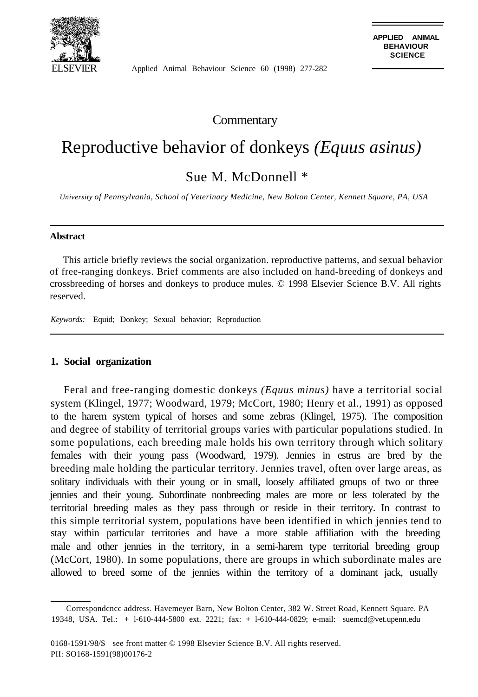

Applied Animal Behaviour Science 60 (1998) 277-282

**Commentary** 

# Reproductive behavior of donkeys *(Equus asinus)*

Sue M. McDonnell \*

*University of Pennsylvania, School of Veterinary Medicine, New Bolton Center, Kennett Square, PA, USA*

#### **Abstract**

This article briefly reviews the social organization. reproductive patterns, and sexual behavior of free-ranging donkeys. Brief comments are also included on hand-breeding of donkeys and crossbreeding of horses and donkeys to produce mules. © 1998 Elsevier Science B.V. All rights reserved.

*Keywords:* Equid; Donkey; Sexual behavior; Reproduction

## **1. Social organization**

Feral and free-ranging domestic donkeys *(Equus minus)* have a territorial social system (Klingel, 1977; Woodward, 1979; McCort, 1980; Henry et al., 1991) as opposed to the harem system typical of horses and some zebras (Klingel, 1975). The composition and degree of stability of territorial groups varies with particular populations studied. In some populations, each breeding male holds his own territory through which solitary females with their young pass (Woodward, 1979). Jennies in estrus are bred by the breeding male holding the particular territory. Jennies travel, often over large areas, as solitary individuals with their young or in small, loosely affiliated groups of two or three jennies and their young. Subordinate nonbreeding males are more or less tolerated by the territorial breeding males as they pass through or reside in their territory. In contrast to this simple territorial system, populations have been identified in which jennies tend to stay within particular territories and have a more stable affiliation with the breeding male and other jennies in the territory, in a semi-harem type territorial breeding group (McCort, 1980). In some populations, there are groups in which subordinate males are allowed to breed some of the jennies within the territory of a dominant jack, usually

Correspondcncc address. Havemeyer Barn, New Bolton Center, 382 W. Street Road, Kennett Square. PA 19348, USA. Tel.: + l-610-444-5800 ext. 2221; fax: + l-610-444-0829; e-mail: suemcd@vet.upenn.edu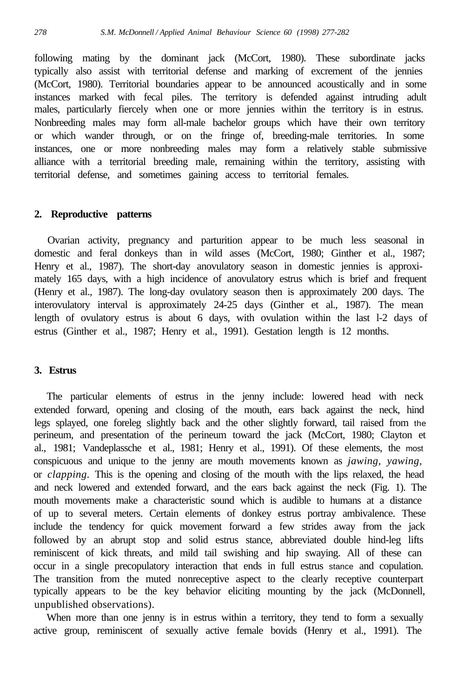following mating by the dominant jack (McCort, 1980). These subordinate jacks typically also assist with territorial defense and marking of excrement of the jennies (McCort, 1980). Territorial boundaries appear to be announced acoustically and in some instances marked with fecal piles. The territory is defended against intruding adult males, particularly fiercely when one or more jennies within the territory is in estrus. Nonbreeding males may form all-male bachelor groups which have their own territory or which wander through, or on the fringe of, breeding-male territories. In some instances, one or more nonbreeding males may form a relatively stable submissive alliance with a territorial breeding male, remaining within the territory, assisting with territorial defense, and sometimes gaining access to territorial females.

## **2. Reproductive patterns**

Ovarian activity, pregnancy and parturition appear to be much less seasonal in domestic and feral donkeys than in wild asses (McCort, 1980; Ginther et al., 1987; Henry et al., 1987). The short-day anovulatory season in domestic jennies is approximately 165 days, with a high incidence of anovulatory estrus which is brief and frequent (Henry et al., 1987). The long-day ovulatory season then is approximately 200 days. The interovulatory interval is approximately 24-25 days (Ginther et al., 1987). The mean length of ovulatory estrus is about 6 days, with ovulation within the last l-2 days of estrus (Ginther et al., 1987; Henry et al., 1991). Gestation length is 12 months.

# **3. Estrus**

The particular elements of estrus in the jenny include: lowered head with neck extended forward, opening and closing of the mouth, ears back against the neck, hind legs splayed, one foreleg slightly back and the other slightly forward, tail raised from the perineum, and presentation of the perineum toward the jack (McCort, 1980; Clayton et al., 1981; Vandeplassche et al., 1981; Henry et al., 1991). Of these elements, the most conspicuous and unique to the jenny are mouth movements known as *jawing, yawing,* or *clapping.* This is the opening and closing of the mouth with the lips relaxed, the head and neck lowered and extended forward, and the ears back against the neck (Fig. 1). The mouth movements make a characteristic sound which is audible to humans at a distance of up to several meters. Certain elements of donkey estrus portray ambivalence. These include the tendency for quick movement forward a few strides away from the jack followed by an abrupt stop and solid estrus stance, abbreviated double hind-leg lifts reminiscent of kick threats, and mild tail swishing and hip swaying. All of these can occur in a single precopulatory interaction that ends in full estrus stance and copulation. The transition from the muted nonreceptive aspect to the clearly receptive counterpart typically appears to be the key behavior eliciting mounting by the jack (McDonnell, unpublished observations).

When more than one jenny is in estrus within a territory, they tend to form a sexually active group, reminiscent of sexually active female bovids (Henry et al., 1991). The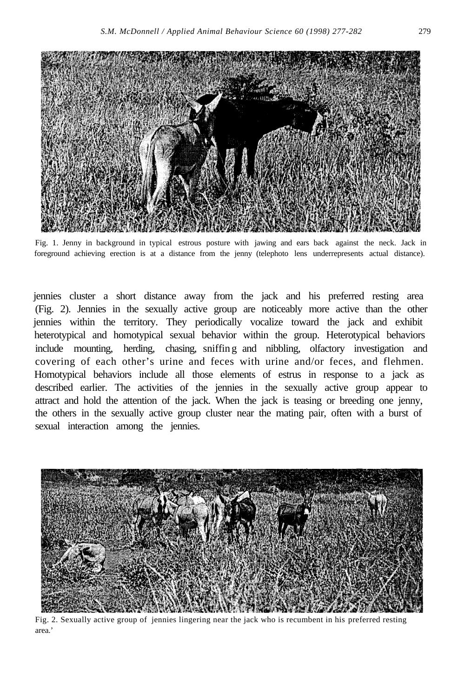

Fig. 1. Jenny in background in typical estrous posture with jawing and ears back against the neck. Jack in foreground achieving erection is at a distance from the jenny (telephoto lens underrepresents actual distance).

jennies cluster a short distance away from the jack and his preferred resting area (Fig. 2). Jennies in the sexually active group are noticeably more active than the other jennies within the territory. They periodically vocalize toward the jack and exhibit heterotypical and homotypical sexual behavior within the group. Heterotypical behaviors include mounting, herding, chasing, sniffin g and nibbling, olfactory investigation and covering of each other's urine and feces with urine and/or feces, and flehmen. Homotypical behaviors include all those elements of estrus in response to a jack as described earlier. The activities of the jennies in the sexually active group appear to attract and hold the attention of the jack. When the jack is teasing or breeding one jenny, the others in the sexually active group cluster near the mating pair, often with a burst of sexual interaction among the jennies.



Fig. 2. Sexually active group of jennies lingering near the jack who is recumbent in his preferred restingarea.'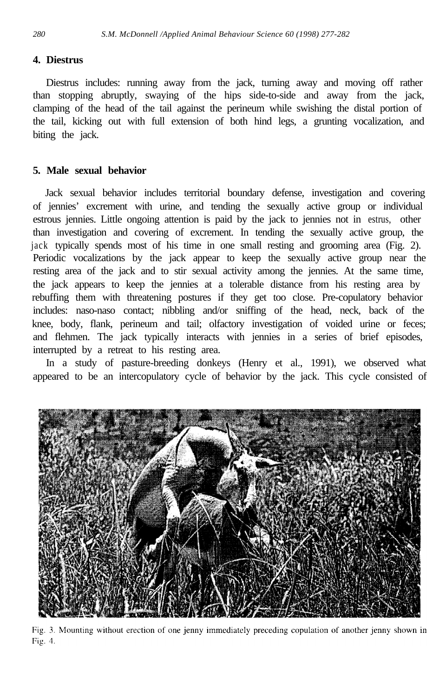# **4. Diestrus**

Diestrus includes: running away from the jack, turning away and moving off rather than stopping abruptly, swaying of the hips side-to-side and away from the jack, clamping of the head of the tail against the perineum while swishing the distal portion of the tail, kicking out with full extension of both hind legs, a grunting vocalization, and biting the jack.

# **5. Male sexual behavior**

Jack sexual behavior includes territorial boundary defense, investigation and covering of jennies' excrement with urine, and tending the sexually active group or individual estrous jennies. Little ongoing attention is paid by the jack to jennies not in estrus, other than investigation and covering of excrement. In tending the sexually active group, the jack typically spends most of his time in one small resting and grooming area (Fig. 2). Periodic vocalizations by the jack appear to keep the sexually active group near the resting area of the jack and to stir sexual activity among the jennies. At the same time, the jack appears to keep the jennies at a tolerable distance from his resting area by rebuffing them with threatening postures if they get too close. Pre-copulatory behavior includes: naso-naso contact; nibbling and/or sniffing of the head, neck, back of the knee, body, flank, perineum and tail; olfactory investigation of voided urine or feces; and flehmen. The jack typically interacts with jennies in a series of brief episodes, interrupted by a retreat to his resting area.

In a study of pasture-breeding donkeys (Henry et al., 1991), we observed what appeared to be an intercopulatory cycle of behavior by the jack. This cycle consisted of



Fig. 3. Mounting without erection of one jenny immediately preceding copulation of another jenny shown in Fig. 4.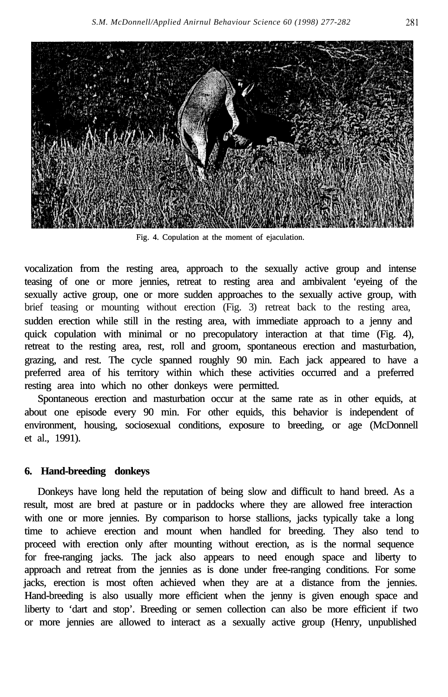

Fig. 4. Copulation at the moment of ejaculation.

vocalization from the resting area, approach to the sexually active group and intense teasing of one or more jennies, retreat to resting area and ambivalent 'eyeing of the sexually active group, one or more sudden approaches to the sexually active group, with brief teasing or mounting without erection (Fig. 3) retreat back to the resting area, sudden erection while still in the resting area, with immediate approach to a jenny and quick copulation with minimal or no precopulatory interaction at that time (Fig. 4), retreat to the resting area, rest, roll and groom, spontaneous erection and masturbation, grazing, and rest. The cycle spanned roughly 90 min. Each jack appeared to have a preferred area of his territory within which these activities occurred and a preferred resting area into which no other donkeys were permitted.

Spontaneous erection and masturbation occur at the same rate as in other equids, at about one episode every 90 min. For other equids, this behavior is independent of environment, housing, sociosexual conditions, exposure to breeding, or age (McDonnell et al., 1991).

# **6. Hand-breeding donkeys**

Donkeys have long held the reputation of being slow and difficult to hand breed. As a result, most are bred at pasture or in paddocks where they are allowed free interaction with one or more jennies. By comparison to horse stallions, jacks typically take a long time to achieve erection and mount when handled for breeding. They also tend to proceed with erection only after mounting without erection, as is the normal sequence for free-ranging jacks. The jack also appears to need enough space and liberty to approach and retreat from the jennies as is done under free-ranging conditions. For some jacks, erection is most often achieved when they are at a distance from the jennies. Hand-breeding is also usually more efficient when the jenny is given enough space and liberty to 'dart and stop'. Breeding or semen collection can also be more efficient if two or more jennies are allowed to interact as a sexually active group (Henry, unpublished